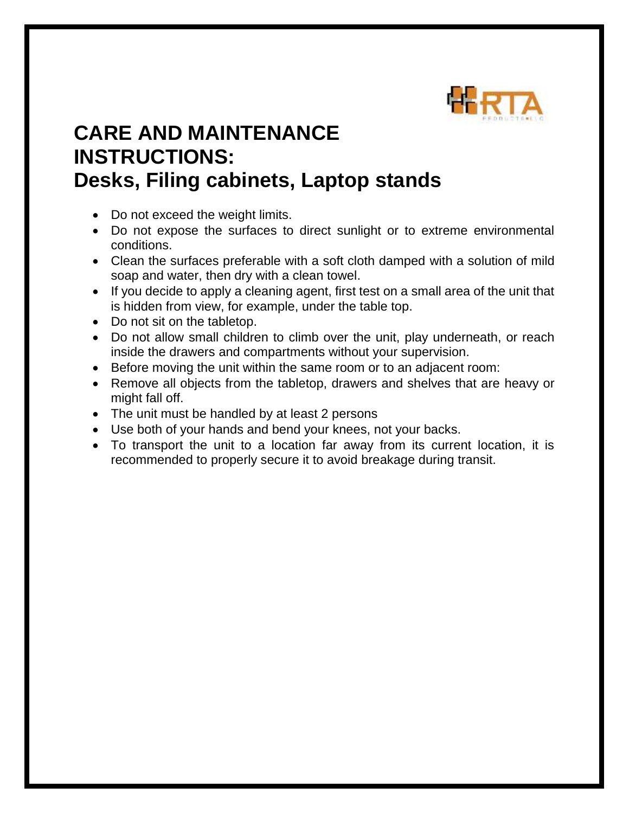

## **CARE AND MAINTENANCE INSTRUCTIONS: Desks, Filing cabinets, Laptop stands**

- Do not exceed the weight limits.
- Do not expose the surfaces to direct sunlight or to extreme environmental conditions.
- Clean the surfaces preferable with a soft cloth damped with a solution of mild soap and water, then dry with a clean towel.
- If you decide to apply a cleaning agent, first test on a small area of the unit that is hidden from view, for example, under the table top.
- Do not sit on the tabletop.
- Do not allow small children to climb over the unit, play underneath, or reach inside the drawers and compartments without your supervision.
- Before moving the unit within the same room or to an adjacent room:
- Remove all objects from the tabletop, drawers and shelves that are heavy or might fall off.
- The unit must be handled by at least 2 persons
- Use both of your hands and bend your knees, not your backs.
- To transport the unit to a location far away from its current location, it is recommended to properly secure it to avoid breakage during transit.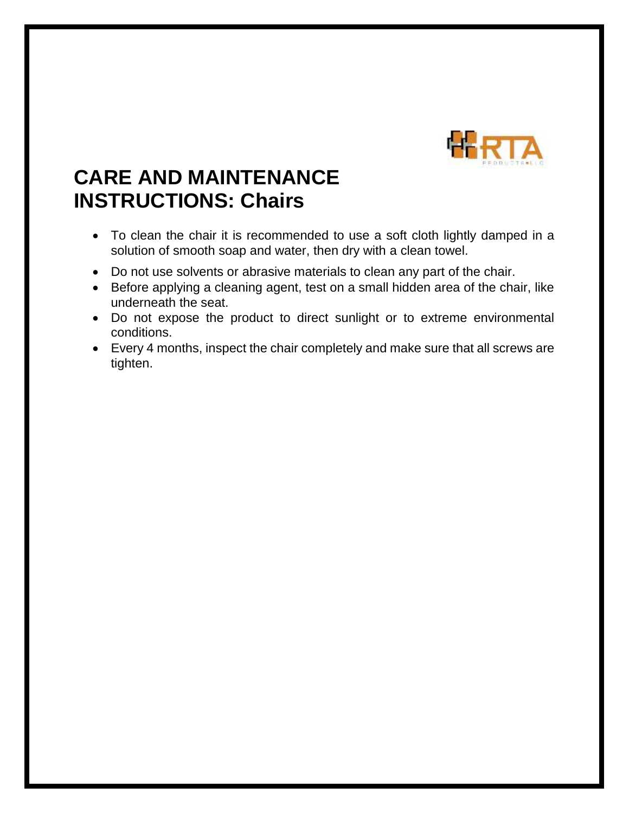

## **CARE AND MAINTENANCE INSTRUCTIONS: Chairs**

- To clean the chair it is recommended to use a soft cloth lightly damped in a solution of smooth soap and water, then dry with a clean towel.
- Do not use solvents or abrasive materials to clean any part of the chair.
- Before applying a cleaning agent, test on a small hidden area of the chair, like underneath the seat.
- Do not expose the product to direct sunlight or to extreme environmental conditions.
- Every 4 months, inspect the chair completely and make sure that all screws are tighten.